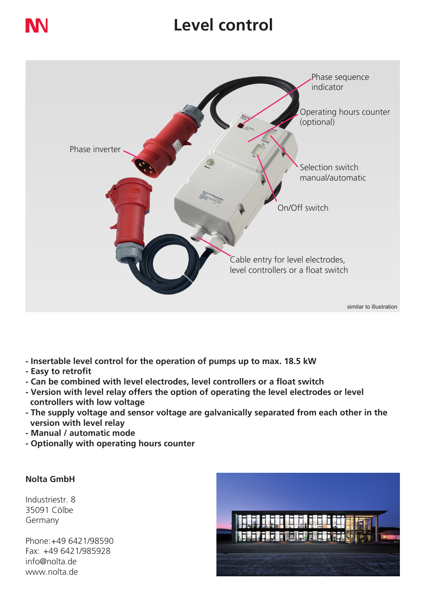### **Level control**



- **Insertable level control for the operation of pumps up to max. 18.5 kW**
- **Easy to retrofit**
- **Can be combined with level electrodes, level controllers or a float switch**
- **Version with level relay offers the option of operating the level electrodes or level controllers with low voltage**
- **The supply voltage and sensor voltage are galvanically separated from each other in the version with level relay**
- **Manual / automatic mode**
- **Optionally with operating hours counter**

### **Nolta GmbH**

Industriestr. 8 35091 Cölbe Germany

Phone:+49 6421/98590 Fax: +49 6421/985928 info@nolta.de www.nolta.de